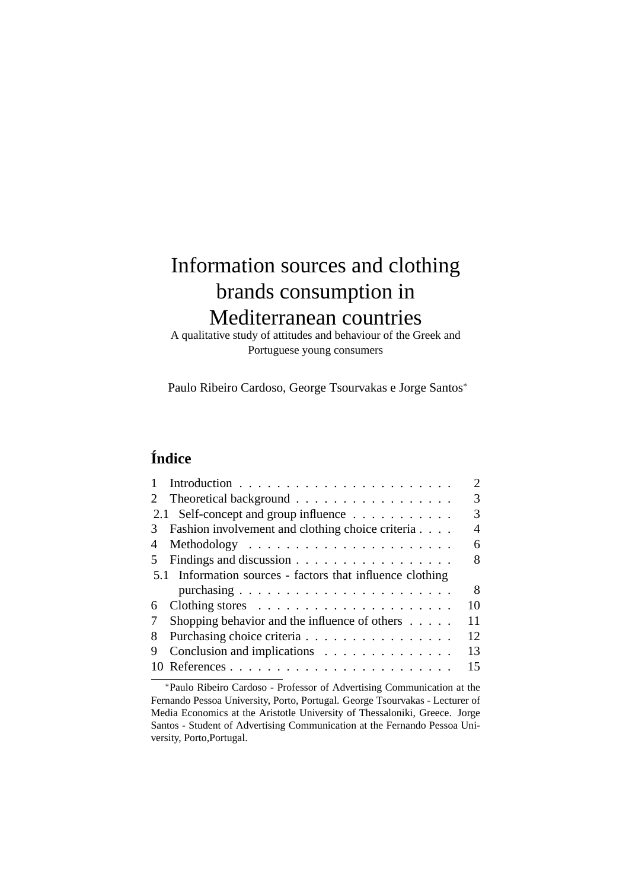# Information sources and clothing brands consumption in Mediterranean countries

A qualitative study of attitudes and behaviour of the Greek and Portuguese young consumers

Paulo Ribeiro Cardoso, George Tsourvakas e Jorge Santos<sup>∗</sup>

# **Índice**

|    |                                                               | $\mathcal{D}_{\cdot}$ |
|----|---------------------------------------------------------------|-----------------------|
| 2  | Theoretical background                                        | 3                     |
|    | 2.1 Self-concept and group influence                          | 3                     |
| 3  | Fashion involvement and clothing choice criteria              | 4                     |
| 4  | Methodology $\dots \dots \dots \dots \dots \dots \dots \dots$ | 6                     |
| 5. | Findings and discussion                                       | 8                     |
|    | 5.1 Information sources - factors that influence clothing     |                       |
|    |                                                               | 8                     |
| 6  |                                                               | 10                    |
| 7  | Shopping behavior and the influence of others $\dots$ .       | 11                    |
| 8  | Purchasing choice criteria                                    | 12                    |
| 9  | Conclusion and implications                                   | 13                    |
|    |                                                               | 15                    |
|    |                                                               |                       |

<sup>∗</sup>Paulo Ribeiro Cardoso - Professor of Advertising Communication at the Fernando Pessoa University, Porto, Portugal. George Tsourvakas - Lecturer of Media Economics at the Aristotle University of Thessaloniki, Greece. Jorge Santos - Student of Advertising Communication at the Fernando Pessoa University, Porto,Portugal.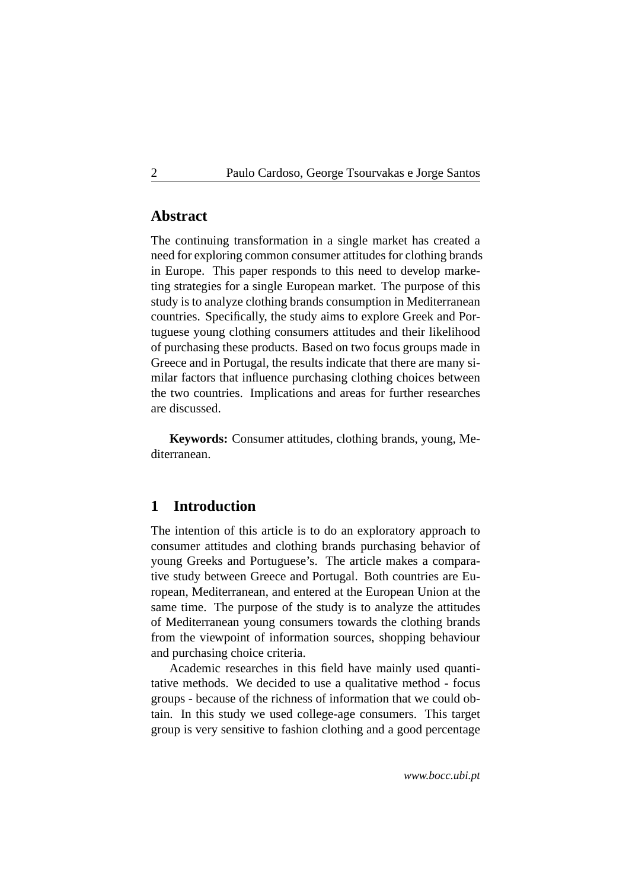### **Abstract**

The continuing transformation in a single market has created a need for exploring common consumer attitudes for clothing brands in Europe. This paper responds to this need to develop marketing strategies for a single European market. The purpose of this study is to analyze clothing brands consumption in Mediterranean countries. Specifically, the study aims to explore Greek and Portuguese young clothing consumers attitudes and their likelihood of purchasing these products. Based on two focus groups made in Greece and in Portugal, the results indicate that there are many similar factors that influence purchasing clothing choices between the two countries. Implications and areas for further researches are discussed.

**Keywords:** Consumer attitudes, clothing brands, young, Mediterranean.

# <span id="page-1-0"></span>**1 Introduction**

The intention of this article is to do an exploratory approach to consumer attitudes and clothing brands purchasing behavior of young Greeks and Portuguese's. The article makes a comparative study between Greece and Portugal. Both countries are European, Mediterranean, and entered at the European Union at the same time. The purpose of the study is to analyze the attitudes of Mediterranean young consumers towards the clothing brands from the viewpoint of information sources, shopping behaviour and purchasing choice criteria.

Academic researches in this field have mainly used quantitative methods. We decided to use a qualitative method - focus groups - because of the richness of information that we could obtain. In this study we used college-age consumers. This target group is very sensitive to fashion clothing and a good percentage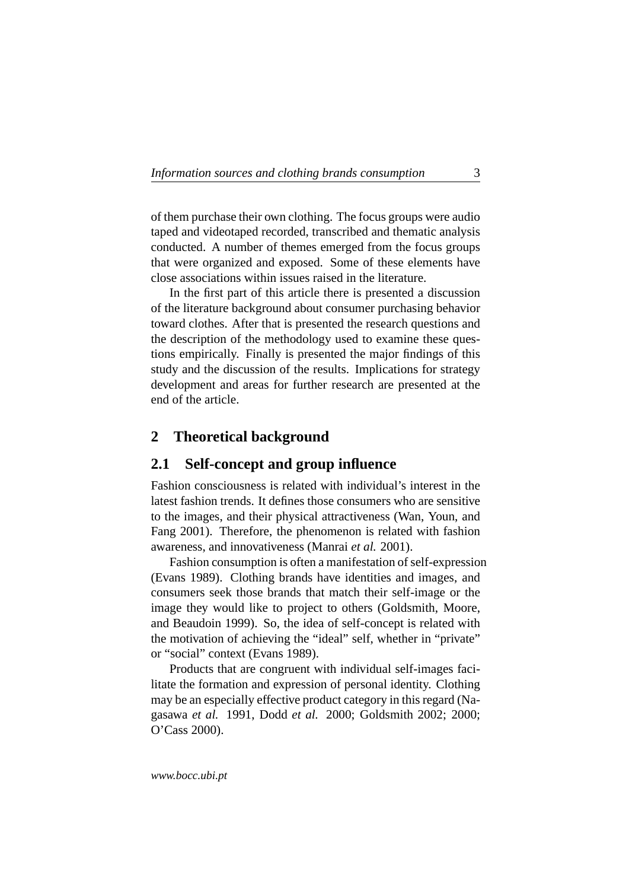of them purchase their own clothing. The focus groups were audio taped and videotaped recorded, transcribed and thematic analysis conducted. A number of themes emerged from the focus groups that were organized and exposed. Some of these elements have close associations within issues raised in the literature.

In the first part of this article there is presented a discussion of the literature background about consumer purchasing behavior toward clothes. After that is presented the research questions and the description of the methodology used to examine these questions empirically. Finally is presented the major findings of this study and the discussion of the results. Implications for strategy development and areas for further research are presented at the end of the article.

### <span id="page-2-0"></span>**2 Theoretical background**

#### <span id="page-2-1"></span>**2.1 Self-concept and group influence**

Fashion consciousness is related with individual's interest in the latest fashion trends. It defines those consumers who are sensitive to the images, and their physical attractiveness (Wan, Youn, and Fang 2001). Therefore, the phenomenon is related with fashion awareness, and innovativeness (Manrai *et al.* 2001).

Fashion consumption is often a manifestation of self-expression (Evans 1989). Clothing brands have identities and images, and consumers seek those brands that match their self-image or the image they would like to project to others (Goldsmith, Moore, and Beaudoin 1999). So, the idea of self-concept is related with the motivation of achieving the "ideal" self, whether in "private" or "social" context (Evans 1989).

Products that are congruent with individual self-images facilitate the formation and expression of personal identity. Clothing may be an especially effective product category in this regard (Nagasawa *et al.* 1991, Dodd *et al.* 2000; Goldsmith 2002; 2000; O'Cass 2000).

*www.bocc.ubi.pt*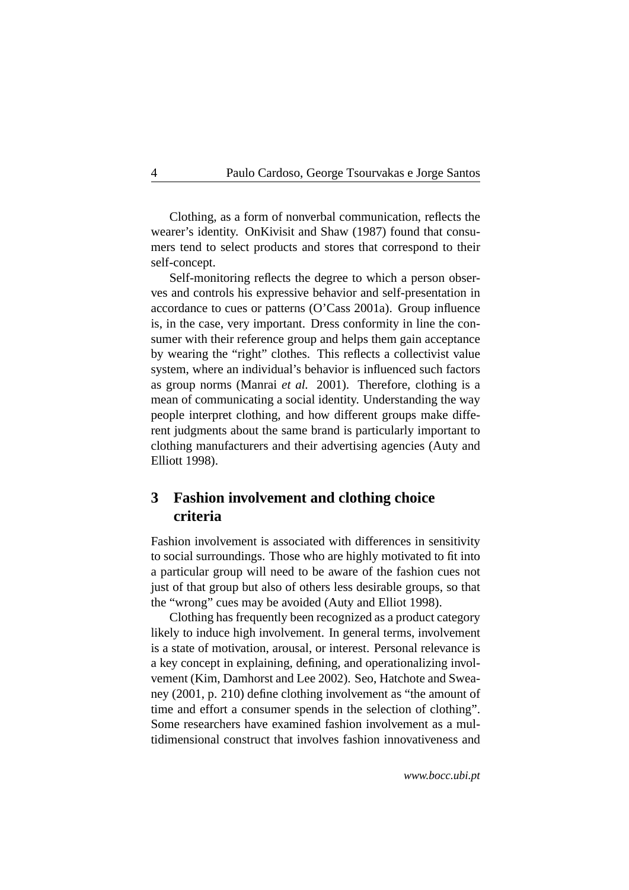Clothing, as a form of nonverbal communication, reflects the wearer's identity. OnKivisit and Shaw (1987) found that consumers tend to select products and stores that correspond to their self-concept.

Self-monitoring reflects the degree to which a person observes and controls his expressive behavior and self-presentation in accordance to cues or patterns (O'Cass 2001a). Group influence is, in the case, very important. Dress conformity in line the consumer with their reference group and helps them gain acceptance by wearing the "right" clothes. This reflects a collectivist value system, where an individual's behavior is influenced such factors as group norms (Manrai *et al.* 2001). Therefore, clothing is a mean of communicating a social identity. Understanding the way people interpret clothing, and how different groups make different judgments about the same brand is particularly important to clothing manufacturers and their advertising agencies (Auty and Elliott 1998).

# <span id="page-3-0"></span>**3 Fashion involvement and clothing choice criteria**

Fashion involvement is associated with differences in sensitivity to social surroundings. Those who are highly motivated to fit into a particular group will need to be aware of the fashion cues not just of that group but also of others less desirable groups, so that the "wrong" cues may be avoided (Auty and Elliot 1998).

Clothing has frequently been recognized as a product category likely to induce high involvement. In general terms, involvement is a state of motivation, arousal, or interest. Personal relevance is a key concept in explaining, defining, and operationalizing involvement (Kim, Damhorst and Lee 2002). Seo, Hatchote and Sweaney (2001, p. 210) define clothing involvement as "the amount of time and effort a consumer spends in the selection of clothing". Some researchers have examined fashion involvement as a multidimensional construct that involves fashion innovativeness and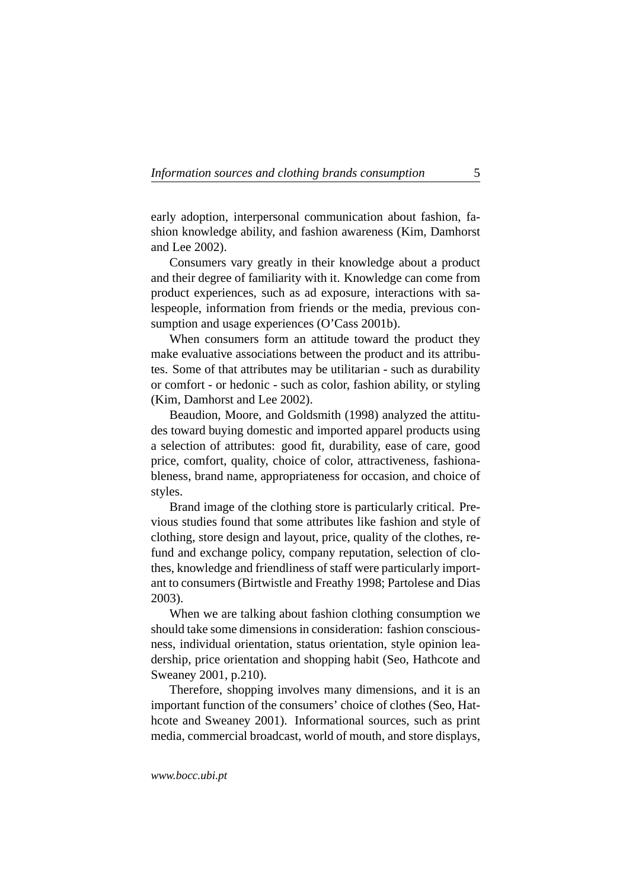early adoption, interpersonal communication about fashion, fashion knowledge ability, and fashion awareness (Kim, Damhorst and Lee 2002).

Consumers vary greatly in their knowledge about a product and their degree of familiarity with it. Knowledge can come from product experiences, such as ad exposure, interactions with salespeople, information from friends or the media, previous consumption and usage experiences (O'Cass 2001b).

When consumers form an attitude toward the product they make evaluative associations between the product and its attributes. Some of that attributes may be utilitarian - such as durability or comfort - or hedonic - such as color, fashion ability, or styling (Kim, Damhorst and Lee 2002).

Beaudion, Moore, and Goldsmith (1998) analyzed the attitudes toward buying domestic and imported apparel products using a selection of attributes: good fit, durability, ease of care, good price, comfort, quality, choice of color, attractiveness, fashionableness, brand name, appropriateness for occasion, and choice of styles.

Brand image of the clothing store is particularly critical. Previous studies found that some attributes like fashion and style of clothing, store design and layout, price, quality of the clothes, refund and exchange policy, company reputation, selection of clothes, knowledge and friendliness of staff were particularly important to consumers (Birtwistle and Freathy 1998; Partolese and Dias 2003).

When we are talking about fashion clothing consumption we should take some dimensions in consideration: fashion consciousness, individual orientation, status orientation, style opinion leadership, price orientation and shopping habit (Seo, Hathcote and Sweaney 2001, p.210).

Therefore, shopping involves many dimensions, and it is an important function of the consumers' choice of clothes (Seo, Hathcote and Sweaney 2001). Informational sources, such as print media, commercial broadcast, world of mouth, and store displays,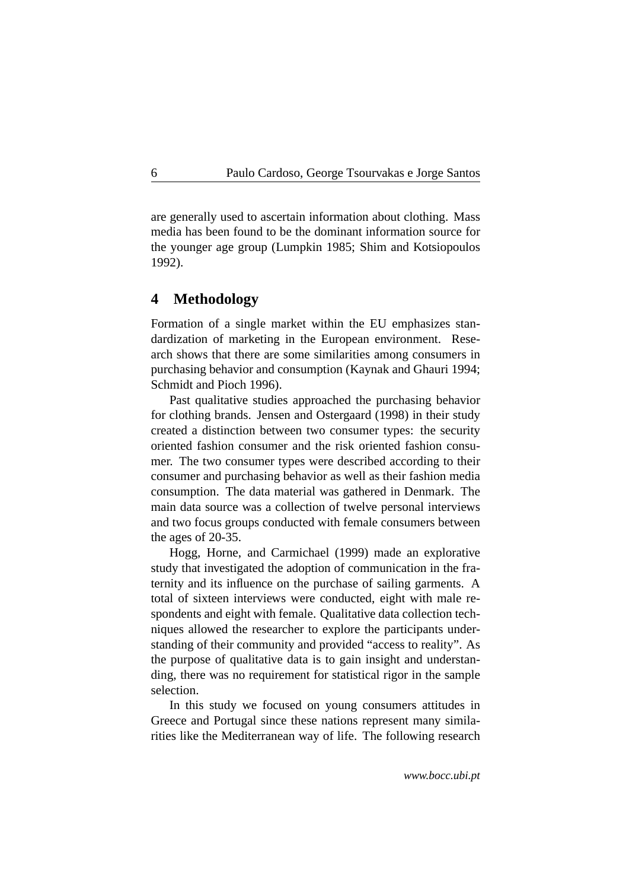are generally used to ascertain information about clothing. Mass media has been found to be the dominant information source for the younger age group (Lumpkin 1985; Shim and Kotsiopoulos 1992).

### <span id="page-5-0"></span>**4 Methodology**

Formation of a single market within the EU emphasizes standardization of marketing in the European environment. Research shows that there are some similarities among consumers in purchasing behavior and consumption (Kaynak and Ghauri 1994; Schmidt and Pioch 1996).

Past qualitative studies approached the purchasing behavior for clothing brands. Jensen and Ostergaard (1998) in their study created a distinction between two consumer types: the security oriented fashion consumer and the risk oriented fashion consumer. The two consumer types were described according to their consumer and purchasing behavior as well as their fashion media consumption. The data material was gathered in Denmark. The main data source was a collection of twelve personal interviews and two focus groups conducted with female consumers between the ages of 20-35.

Hogg, Horne, and Carmichael (1999) made an explorative study that investigated the adoption of communication in the fraternity and its influence on the purchase of sailing garments. A total of sixteen interviews were conducted, eight with male respondents and eight with female. Qualitative data collection techniques allowed the researcher to explore the participants understanding of their community and provided "access to reality". As the purpose of qualitative data is to gain insight and understanding, there was no requirement for statistical rigor in the sample selection.

In this study we focused on young consumers attitudes in Greece and Portugal since these nations represent many similarities like the Mediterranean way of life. The following research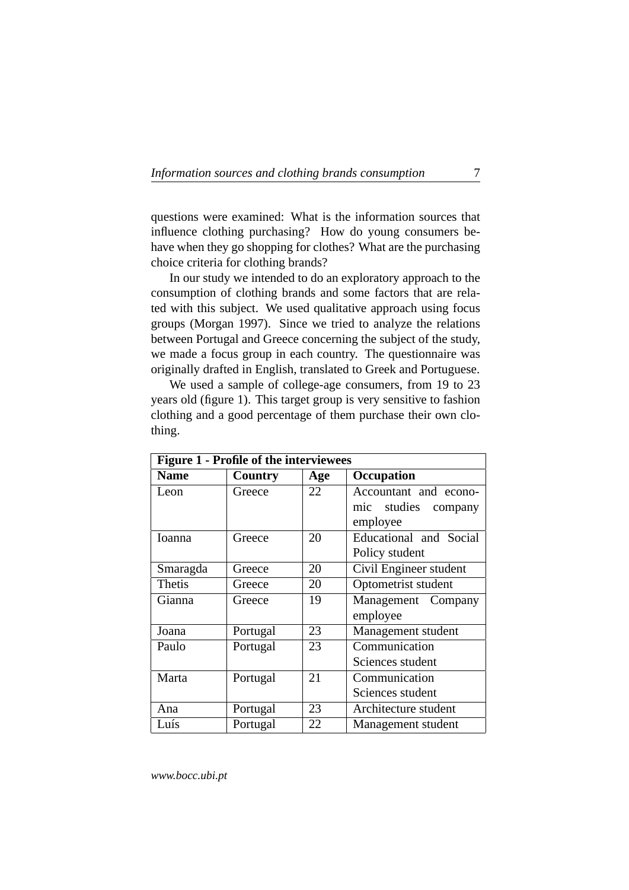questions were examined: What is the information sources that influence clothing purchasing? How do young consumers behave when they go shopping for clothes? What are the purchasing choice criteria for clothing brands?

In our study we intended to do an exploratory approach to the consumption of clothing brands and some factors that are related with this subject. We used qualitative approach using focus groups (Morgan 1997). Since we tried to analyze the relations between Portugal and Greece concerning the subject of the study, we made a focus group in each country. The questionnaire was originally drafted in English, translated to Greek and Portuguese.

We used a sample of college-age consumers, from 19 to 23 years old (figure 1). This target group is very sensitive to fashion clothing and a good percentage of them purchase their own clothing.

| <b>Figure 1 - Profile of the interviewees</b> |          |     |                                                                |  |  |  |
|-----------------------------------------------|----------|-----|----------------------------------------------------------------|--|--|--|
| <b>Name</b>                                   | Country  | Age | Occupation                                                     |  |  |  |
| Leon                                          | Greece   | 22  | Accountant and econo-<br>studies<br>mic<br>company<br>employee |  |  |  |
| <b>Ioanna</b>                                 | Greece   | 20  | Educational and Social<br>Policy student                       |  |  |  |
| Smaragda                                      | Greece   | 20  | Civil Engineer student                                         |  |  |  |
| Thetis                                        | Greece   | 20  | Optometrist student                                            |  |  |  |
| Gianna                                        | Greece   | 19  | Management Company<br>employee                                 |  |  |  |
| Joana                                         | Portugal | 23  | Management student                                             |  |  |  |
| Paulo                                         | Portugal | 23  | Communication<br>Sciences student                              |  |  |  |
| Marta                                         | Portugal | 21  | Communication<br>Sciences student                              |  |  |  |
| Ana                                           | Portugal | 23  | Architecture student                                           |  |  |  |
| Luís                                          | Portugal | 22  | Management student                                             |  |  |  |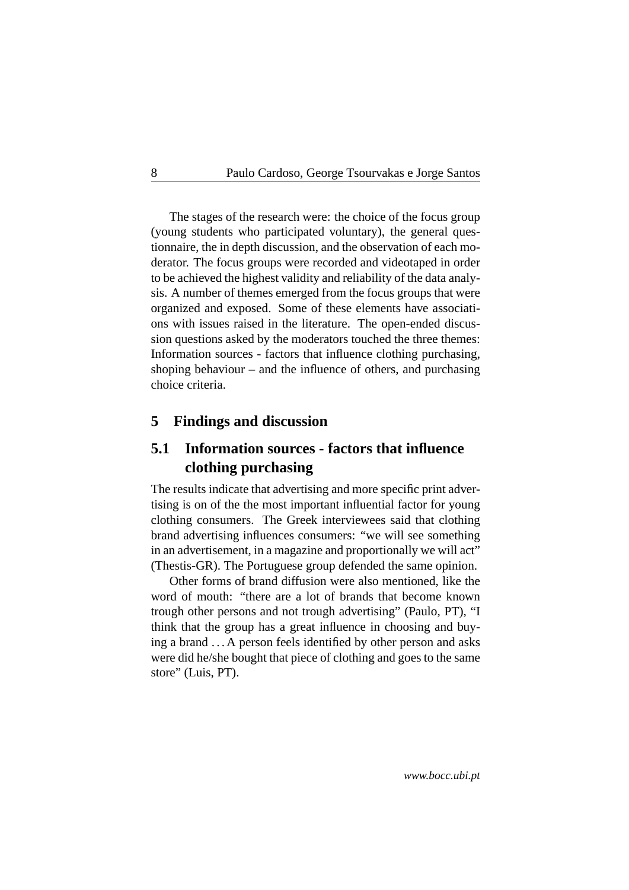The stages of the research were: the choice of the focus group (young students who participated voluntary), the general questionnaire, the in depth discussion, and the observation of each moderator. The focus groups were recorded and videotaped in order to be achieved the highest validity and reliability of the data analysis. A number of themes emerged from the focus groups that were organized and exposed. Some of these elements have associations with issues raised in the literature. The open-ended discussion questions asked by the moderators touched the three themes: Information sources - factors that influence clothing purchasing, shoping behaviour – and the influence of others, and purchasing choice criteria.

### <span id="page-7-0"></span>**5 Findings and discussion**

# <span id="page-7-1"></span>**5.1 Information sources - factors that influence clothing purchasing**

The results indicate that advertising and more specific print advertising is on of the the most important influential factor for young clothing consumers. The Greek interviewees said that clothing brand advertising influences consumers: "we will see something in an advertisement, in a magazine and proportionally we will act" (Thestis-GR). The Portuguese group defended the same opinion.

Other forms of brand diffusion were also mentioned, like the word of mouth: "there are a lot of brands that become known trough other persons and not trough advertising" (Paulo, PT), "I think that the group has a great influence in choosing and buying a brand . . . A person feels identified by other person and asks were did he/she bought that piece of clothing and goes to the same store" (Luis, PT).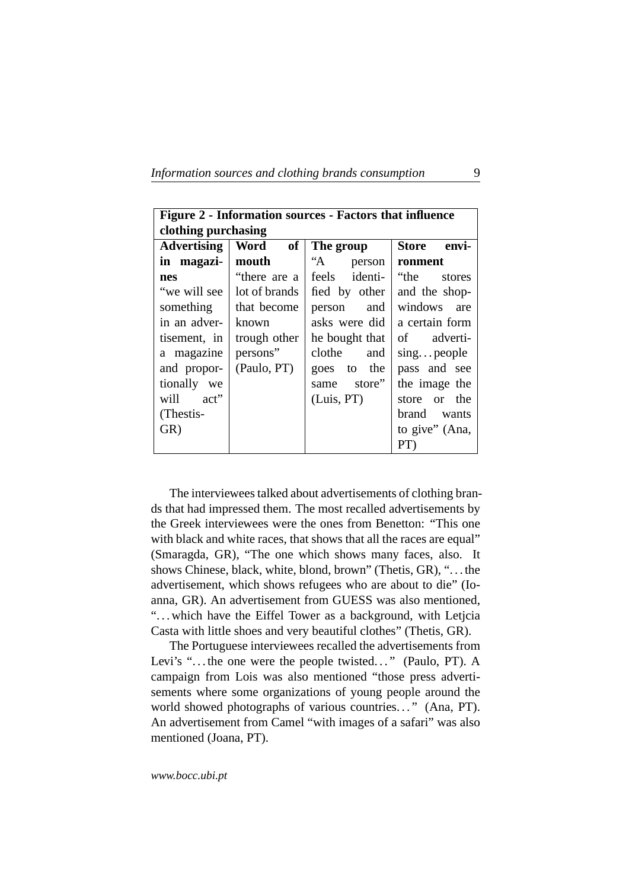| Figure 2 - Information sources - Factors that influence |                               |                |                       |  |  |  |
|---------------------------------------------------------|-------------------------------|----------------|-----------------------|--|--|--|
| clothing purchasing                                     |                               |                |                       |  |  |  |
| <b>Advertising</b>                                      | Word<br>of                    | The group      | <b>Store</b><br>envi- |  |  |  |
| in magazi-                                              | mouth                         | "A person      | ronment               |  |  |  |
| nes                                                     | "there are a                  | feels identi-  | "the<br>stores        |  |  |  |
|                                                         | "we will see   lot of brands" | fied by other  | and the shop-         |  |  |  |
|                                                         | something   that become       | person and     | windows are           |  |  |  |
| in an adver-                                            | known                         | asks were did  | a certain form        |  |  |  |
| tisement, in                                            | trough other                  | he bought that | adverti-<br>$\sigma$  |  |  |  |
| a magazine                                              | persons"                      | clothe<br>and  | singpeople            |  |  |  |
| and propor-                                             | (Paulo, PT)                   | goes to the    | pass and see          |  |  |  |
| tionally we                                             |                               | store"<br>same | the image the         |  |  |  |
| will act"                                               |                               | (Luis, PT)     | store or the          |  |  |  |
| (Thestis-                                               |                               |                | brand wants           |  |  |  |
| GR)                                                     |                               |                | to give" (Ana,        |  |  |  |
|                                                         |                               |                | PT                    |  |  |  |

The interviewees talked about advertisements of clothing brands that had impressed them. The most recalled advertisements by the Greek interviewees were the ones from Benetton: "This one with black and white races, that shows that all the races are equal" (Smaragda, GR), "The one which shows many faces, also. It shows Chinese, black, white, blond, brown" (Thetis, GR), ". . . the advertisement, which shows refugees who are about to die" (Ioanna, GR). An advertisement from GUESS was also mentioned, "...which have the Eiffel Tower as a background, with Letjcia Casta with little shoes and very beautiful clothes" (Thetis, GR).

The Portuguese interviewees recalled the advertisements from Levi's "... the one were the people twisted..." (Paulo, PT). A campaign from Lois was also mentioned "those press advertisements where some organizations of young people around the world showed photographs of various countries..." (Ana, PT). An advertisement from Camel "with images of a safari" was also mentioned (Joana, PT).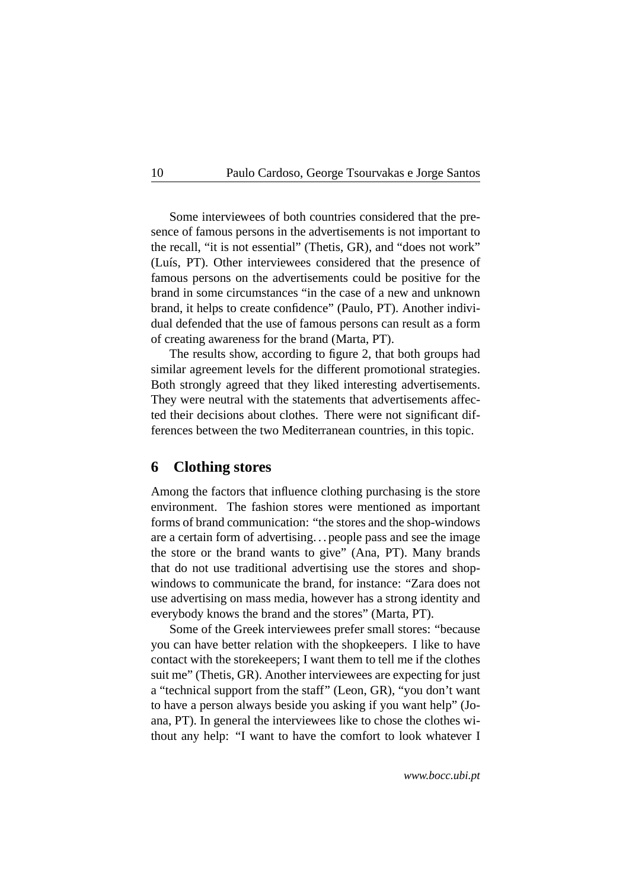Some interviewees of both countries considered that the presence of famous persons in the advertisements is not important to the recall, "it is not essential" (Thetis, GR), and "does not work" (Luís, PT). Other interviewees considered that the presence of famous persons on the advertisements could be positive for the brand in some circumstances "in the case of a new and unknown brand, it helps to create confidence" (Paulo, PT). Another individual defended that the use of famous persons can result as a form of creating awareness for the brand (Marta, PT).

The results show, according to figure 2, that both groups had similar agreement levels for the different promotional strategies. Both strongly agreed that they liked interesting advertisements. They were neutral with the statements that advertisements affected their decisions about clothes. There were not significant differences between the two Mediterranean countries, in this topic.

#### <span id="page-9-0"></span>**6 Clothing stores**

Among the factors that influence clothing purchasing is the store environment. The fashion stores were mentioned as important forms of brand communication: "the stores and the shop-windows are a certain form of advertising. . . people pass and see the image the store or the brand wants to give" (Ana, PT). Many brands that do not use traditional advertising use the stores and shopwindows to communicate the brand, for instance: "Zara does not use advertising on mass media, however has a strong identity and everybody knows the brand and the stores" (Marta, PT).

Some of the Greek interviewees prefer small stores: "because you can have better relation with the shopkeepers. I like to have contact with the storekeepers; I want them to tell me if the clothes suit me" (Thetis, GR). Another interviewees are expecting for just a "technical support from the staff" (Leon, GR), "you don't want to have a person always beside you asking if you want help" (Joana, PT). In general the interviewees like to chose the clothes without any help: "I want to have the comfort to look whatever I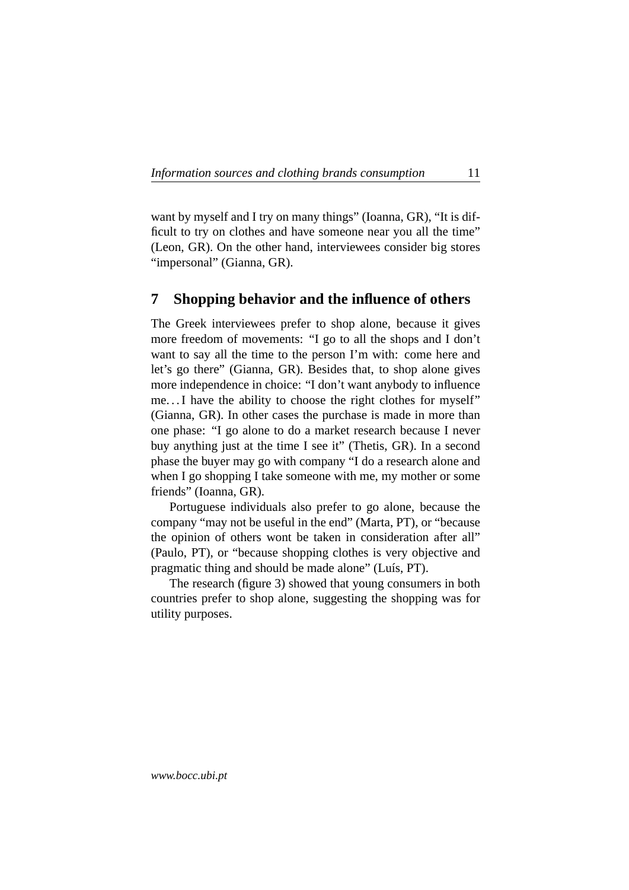want by myself and I try on many things" (Ioanna, GR), "It is difficult to try on clothes and have someone near you all the time" (Leon, GR). On the other hand, interviewees consider big stores "impersonal" (Gianna, GR).

# <span id="page-10-0"></span>**7 Shopping behavior and the influence of others**

The Greek interviewees prefer to shop alone, because it gives more freedom of movements: "I go to all the shops and I don't want to say all the time to the person I'm with: come here and let's go there" (Gianna, GR). Besides that, to shop alone gives more independence in choice: "I don't want anybody to influence me. . . I have the ability to choose the right clothes for myself" (Gianna, GR). In other cases the purchase is made in more than one phase: "I go alone to do a market research because I never buy anything just at the time I see it" (Thetis, GR). In a second phase the buyer may go with company "I do a research alone and when I go shopping I take someone with me, my mother or some friends" (Ioanna, GR).

Portuguese individuals also prefer to go alone, because the company "may not be useful in the end" (Marta, PT), or "because the opinion of others wont be taken in consideration after all" (Paulo, PT), or "because shopping clothes is very objective and pragmatic thing and should be made alone" (Luís, PT).

The research (figure 3) showed that young consumers in both countries prefer to shop alone, suggesting the shopping was for utility purposes.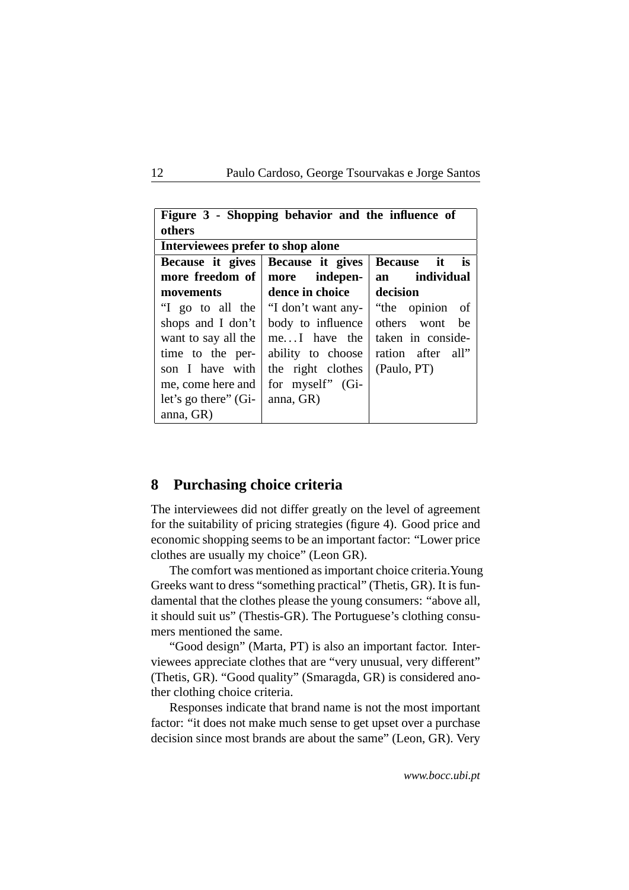| Figure 3 - Shopping behavior and the influence of<br>others |                                   |                                      |  |  |  |  |  |
|-------------------------------------------------------------|-----------------------------------|--------------------------------------|--|--|--|--|--|
| Interviewees prefer to shop alone                           |                                   |                                      |  |  |  |  |  |
|                                                             | Because it gives Because it gives | Because it<br><b>is</b>              |  |  |  |  |  |
|                                                             | more freedom of   more indepen-   | an individual                        |  |  |  |  |  |
| movements                                                   | dence in choice                   | decision                             |  |  |  |  |  |
| "I go to all the                                            |                                   | "I don't want any-   "the opinion of |  |  |  |  |  |
| shops and I don't                                           | body to influence                 | others wont be                       |  |  |  |  |  |
| want to say all the                                         | $meI$ have the                    | taken in conside-                    |  |  |  |  |  |
| time to the per-                                            | ability to choose                 | ration after all"                    |  |  |  |  |  |
| son I have with                                             | the right clothes                 | (Paulo, PT)                          |  |  |  |  |  |
| me, come here and                                           | for myself" (Gi-                  |                                      |  |  |  |  |  |
| let's go there" (Gi-                                        | anna, GR)                         |                                      |  |  |  |  |  |
| anna, GR)                                                   |                                   |                                      |  |  |  |  |  |

# <span id="page-11-0"></span>**8 Purchasing choice criteria**

The interviewees did not differ greatly on the level of agreement for the suitability of pricing strategies (figure 4). Good price and economic shopping seems to be an important factor: "Lower price clothes are usually my choice" (Leon GR).

The comfort was mentioned as important choice criteria.Young Greeks want to dress "something practical" (Thetis, GR). It is fundamental that the clothes please the young consumers: "above all, it should suit us" (Thestis-GR). The Portuguese's clothing consumers mentioned the same.

"Good design" (Marta, PT) is also an important factor. Interviewees appreciate clothes that are "very unusual, very different" (Thetis, GR). "Good quality" (Smaragda, GR) is considered another clothing choice criteria.

Responses indicate that brand name is not the most important factor: "it does not make much sense to get upset over a purchase decision since most brands are about the same" (Leon, GR). Very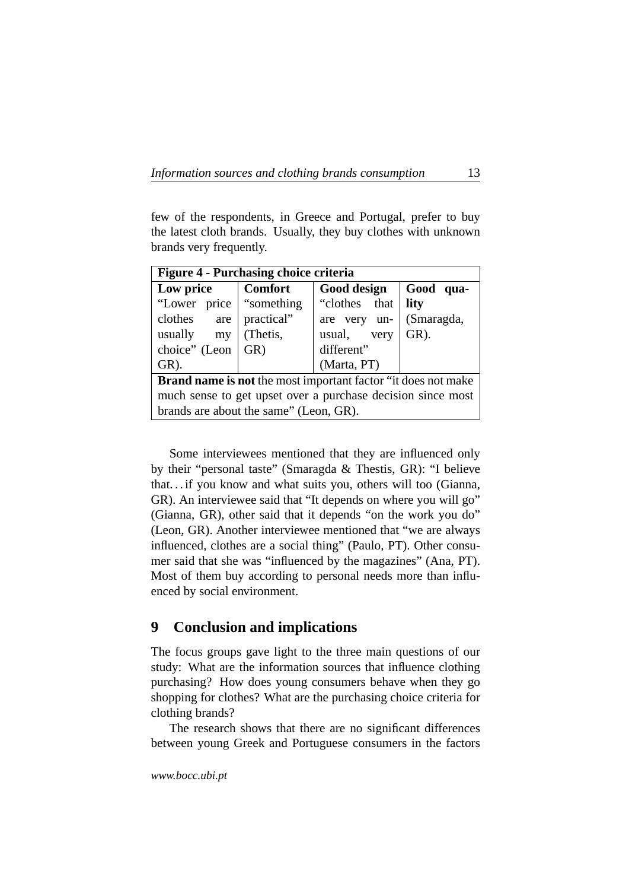| <b>Figure 4 - Purchasing choice criteria</b>                         |                |               |            |  |  |  |
|----------------------------------------------------------------------|----------------|---------------|------------|--|--|--|
| Low price                                                            | <b>Comfort</b> | Good design   | Good qua-  |  |  |  |
| "Lower price   "something"                                           |                | "clothes that | lity       |  |  |  |
| $clothes$ are $ $ practical"                                         |                | are very un-  | (Smaragda, |  |  |  |
| usually<br>my                                                        | (Thetis,       | usual, very   | $GR)$ .    |  |  |  |
| choice" (Leon                                                        | GR)            | different"    |            |  |  |  |
| $GR)$ .                                                              |                | (Marta, PT)   |            |  |  |  |
| <b>Brand name is not</b> the most important factor "it does not make |                |               |            |  |  |  |
| much sense to get upset over a purchase decision since most          |                |               |            |  |  |  |
| brands are about the same" (Leon, GR).                               |                |               |            |  |  |  |

few of the respondents, in Greece and Portugal, prefer to buy the latest cloth brands. Usually, they buy clothes with unknown brands very frequently.

Some interviewees mentioned that they are influenced only by their "personal taste" (Smaragda & Thestis, GR): "I believe that. . . if you know and what suits you, others will too (Gianna, GR). An interviewee said that "It depends on where you will go" (Gianna, GR), other said that it depends "on the work you do" (Leon, GR). Another interviewee mentioned that "we are always influenced, clothes are a social thing" (Paulo, PT). Other consumer said that she was "influenced by the magazines" (Ana, PT). Most of them buy according to personal needs more than influenced by social environment.

# <span id="page-12-0"></span>**9 Conclusion and implications**

The focus groups gave light to the three main questions of our study: What are the information sources that influence clothing purchasing? How does young consumers behave when they go shopping for clothes? What are the purchasing choice criteria for clothing brands?

The research shows that there are no significant differences between young Greek and Portuguese consumers in the factors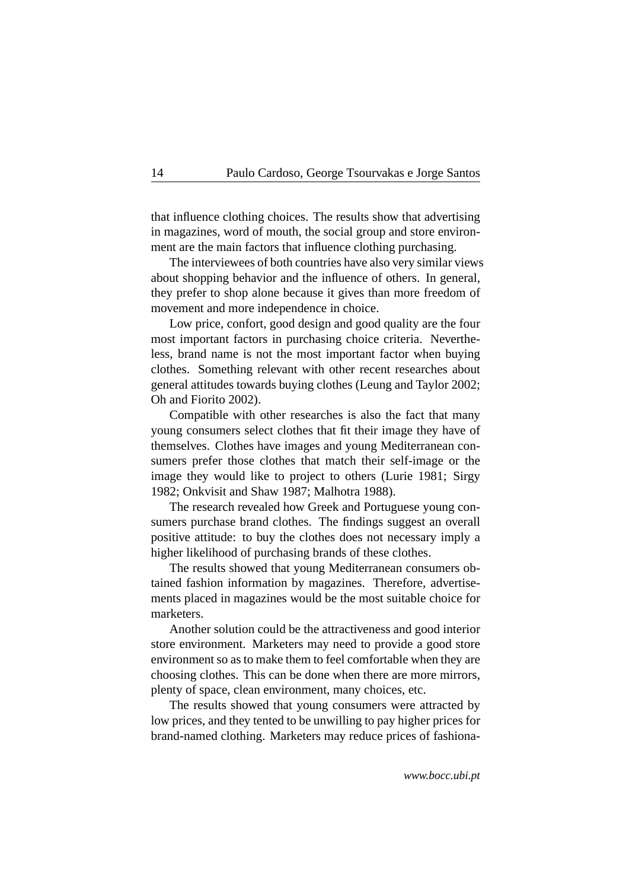that influence clothing choices. The results show that advertising in magazines, word of mouth, the social group and store environment are the main factors that influence clothing purchasing.

The interviewees of both countries have also very similar views about shopping behavior and the influence of others. In general, they prefer to shop alone because it gives than more freedom of movement and more independence in choice.

Low price, confort, good design and good quality are the four most important factors in purchasing choice criteria. Nevertheless, brand name is not the most important factor when buying clothes. Something relevant with other recent researches about general attitudes towards buying clothes (Leung and Taylor 2002; Oh and Fiorito 2002).

Compatible with other researches is also the fact that many young consumers select clothes that fit their image they have of themselves. Clothes have images and young Mediterranean consumers prefer those clothes that match their self-image or the image they would like to project to others (Lurie 1981; Sirgy 1982; Onkvisit and Shaw 1987; Malhotra 1988).

The research revealed how Greek and Portuguese young consumers purchase brand clothes. The findings suggest an overall positive attitude: to buy the clothes does not necessary imply a higher likelihood of purchasing brands of these clothes.

The results showed that young Mediterranean consumers obtained fashion information by magazines. Therefore, advertisements placed in magazines would be the most suitable choice for marketers.

Another solution could be the attractiveness and good interior store environment. Marketers may need to provide a good store environment so as to make them to feel comfortable when they are choosing clothes. This can be done when there are more mirrors, plenty of space, clean environment, many choices, etc.

The results showed that young consumers were attracted by low prices, and they tented to be unwilling to pay higher prices for brand-named clothing. Marketers may reduce prices of fashiona-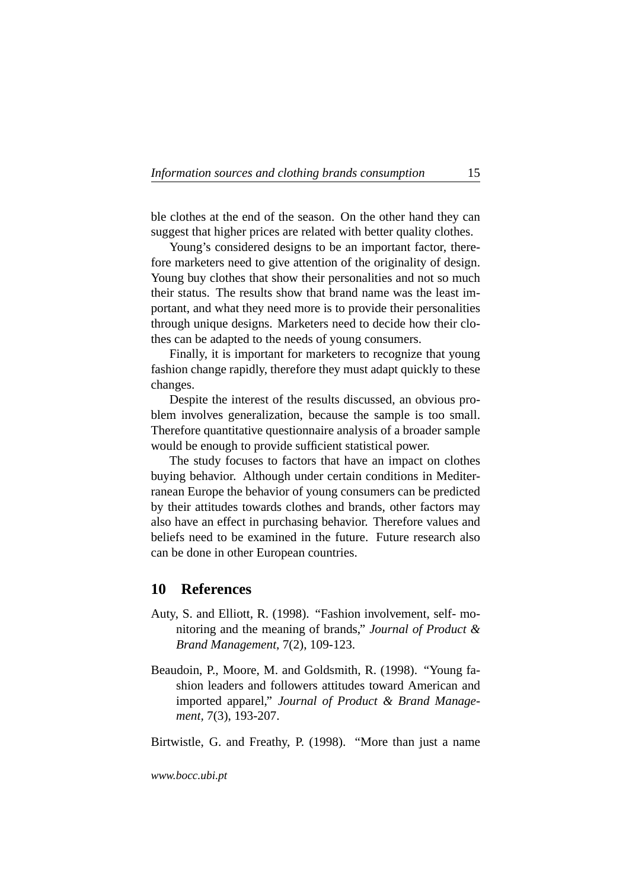ble clothes at the end of the season. On the other hand they can suggest that higher prices are related with better quality clothes.

Young's considered designs to be an important factor, therefore marketers need to give attention of the originality of design. Young buy clothes that show their personalities and not so much their status. The results show that brand name was the least important, and what they need more is to provide their personalities through unique designs. Marketers need to decide how their clothes can be adapted to the needs of young consumers.

Finally, it is important for marketers to recognize that young fashion change rapidly, therefore they must adapt quickly to these changes.

Despite the interest of the results discussed, an obvious problem involves generalization, because the sample is too small. Therefore quantitative questionnaire analysis of a broader sample would be enough to provide sufficient statistical power.

The study focuses to factors that have an impact on clothes buying behavior. Although under certain conditions in Mediterranean Europe the behavior of young consumers can be predicted by their attitudes towards clothes and brands, other factors may also have an effect in purchasing behavior. Therefore values and beliefs need to be examined in the future. Future research also can be done in other European countries.

## <span id="page-14-0"></span>**10 References**

- Auty, S. and Elliott, R. (1998). "Fashion involvement, self- monitoring and the meaning of brands," *Journal of Product & Brand Management,* 7(2), 109-123.
- Beaudoin, P., Moore, M. and Goldsmith, R. (1998). "Young fashion leaders and followers attitudes toward American and imported apparel," *Journal of Product & Brand Management,* 7(3), 193-207.

Birtwistle, G. and Freathy, P. (1998). "More than just a name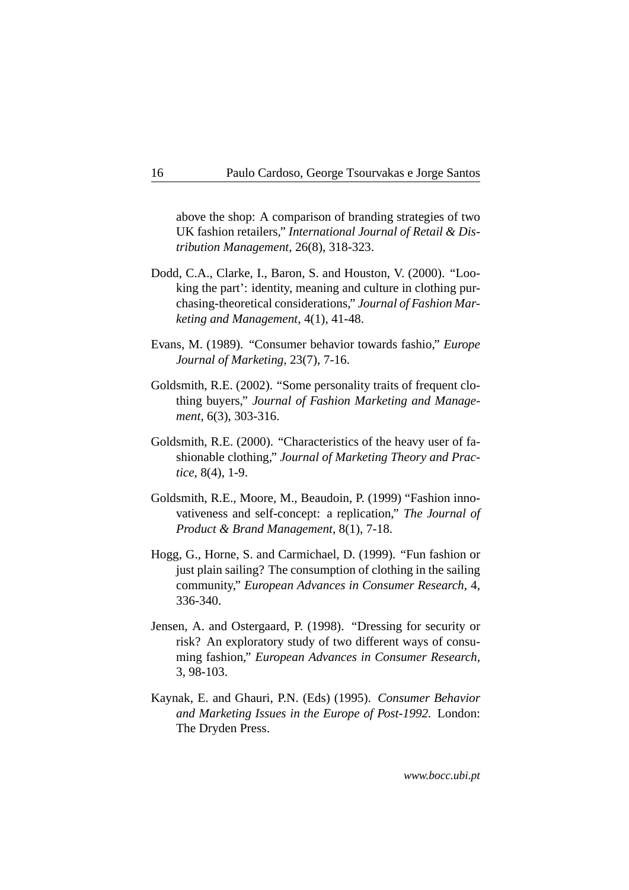above the shop: A comparison of branding strategies of two UK fashion retailers," *International Journal of Retail & Distribution Management,* 26(8), 318-323.

- Dodd, C.A., Clarke, I., Baron, S. and Houston, V. (2000). "Looking the part': identity, meaning and culture in clothing purchasing-theoretical considerations," *Journal of Fashion Marketing and Management,* 4(1), 41-48.
- Evans, M. (1989). "Consumer behavior towards fashio," *Europe Journal of Marketing,* 23(7), 7-16.
- Goldsmith, R.E. (2002). "Some personality traits of frequent clothing buyers," *Journal of Fashion Marketing and Management,* 6(3), 303-316.
- Goldsmith, R.E. (2000). "Characteristics of the heavy user of fashionable clothing," *Journal of Marketing Theory and Practice,* 8(4), 1-9.
- Goldsmith, R.E., Moore, M., Beaudoin, P. (1999) "Fashion innovativeness and self-concept: a replication," *The Journal of Product & Brand Management,* 8(1), 7-18.
- Hogg, G., Horne, S. and Carmichael, D. (1999). "Fun fashion or just plain sailing? The consumption of clothing in the sailing community," *European Advances in Consumer Research,* 4, 336-340.
- Jensen, A. and Ostergaard, P. (1998). "Dressing for security or risk? An exploratory study of two different ways of consuming fashion," *European Advances in Consumer Research,* 3, 98-103.
- Kaynak, E. and Ghauri, P.N. (Eds) (1995). *Consumer Behavior and Marketing Issues in the Europe of Post-1992.* London: The Dryden Press.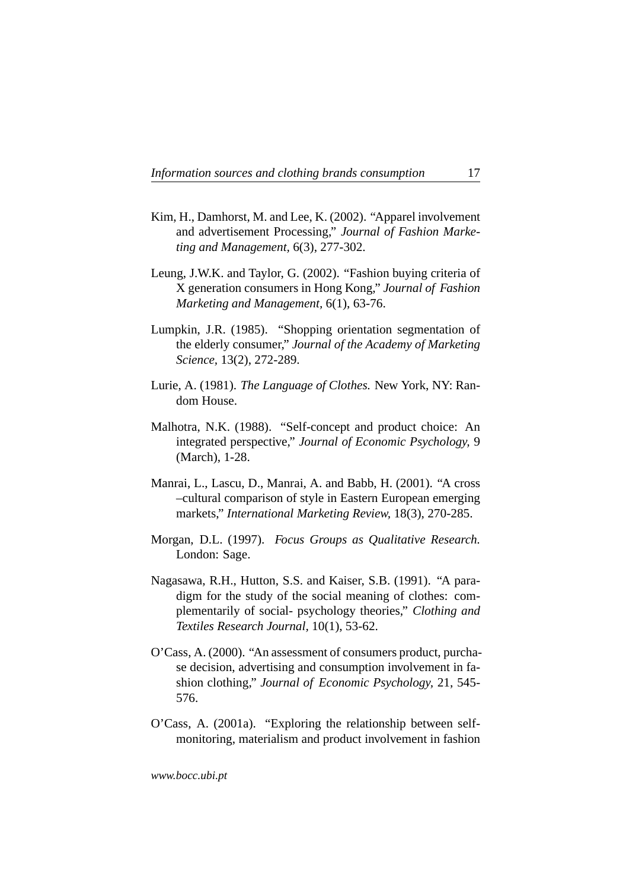- Kim, H., Damhorst, M. and Lee, K. (2002). "Apparel involvement and advertisement Processing," *Journal of Fashion Marketing and Management,* 6(3), 277-302.
- Leung, J.W.K. and Taylor, G. (2002). "Fashion buying criteria of X generation consumers in Hong Kong," *Journal of Fashion Marketing and Management,* 6(1), 63-76.
- Lumpkin, J.R. (1985). "Shopping orientation segmentation of the elderly consumer," *Journal of the Academy of Marketing Science,* 13(2), 272-289.
- Lurie, A. (1981). *The Language of Clothes.* New York, NY: Random House.
- Malhotra, N.K. (1988). "Self-concept and product choice: An integrated perspective," *Journal of Economic Psychology,* 9 (March), 1-28.
- Manrai, L., Lascu, D., Manrai, A. and Babb, H. (2001). "A cross –cultural comparison of style in Eastern European emerging markets," *International Marketing Review,* 18(3), 270-285.
- Morgan, D.L. (1997). *Focus Groups as Qualitative Research.* London: Sage.
- Nagasawa, R.H., Hutton, S.S. and Kaiser, S.B. (1991). "A paradigm for the study of the social meaning of clothes: complementarily of social- psychology theories," *Clothing and Textiles Research Journal,* 10(1), 53-62.
- O'Cass, A. (2000). "An assessment of consumers product, purchase decision, advertising and consumption involvement in fashion clothing," *Journal of Economic Psychology,* 21, 545- 576.
- O'Cass, A. (2001a). "Exploring the relationship between selfmonitoring, materialism and product involvement in fashion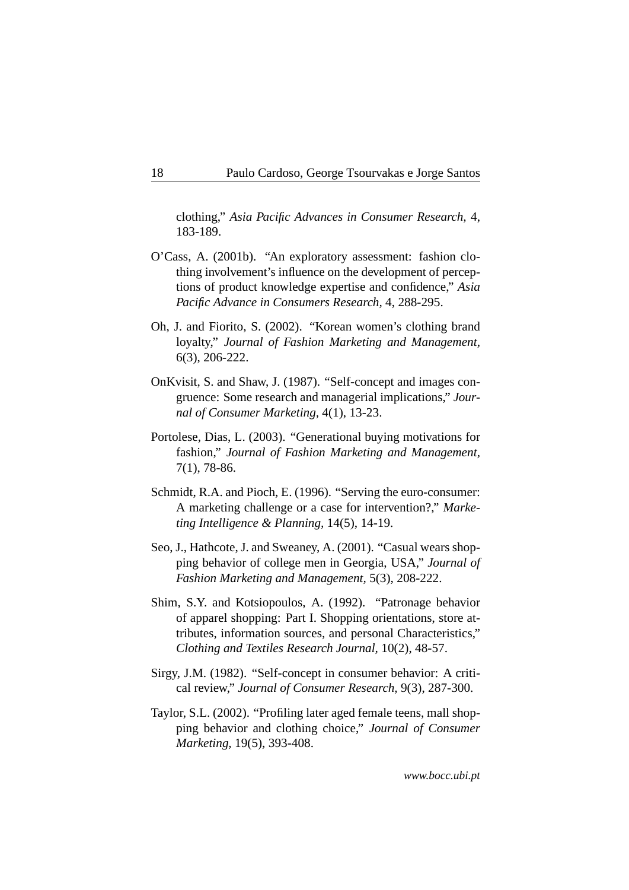clothing," *Asia Pacific Advances in Consumer Research,* 4, 183-189.

- O'Cass, A. (2001b). "An exploratory assessment: fashion clothing involvement's influence on the development of perceptions of product knowledge expertise and confidence," *Asia Pacific Advance in Consumers Research,* 4, 288-295.
- Oh, J. and Fiorito, S. (2002). "Korean women's clothing brand loyalty," *Journal of Fashion Marketing and Management,* 6(3), 206-222.
- OnKvisit, S. and Shaw, J. (1987). "Self-concept and images congruence: Some research and managerial implications," *Journal of Consumer Marketing,* 4(1), 13-23.
- Portolese, Dias, L. (2003). "Generational buying motivations for fashion," *Journal of Fashion Marketing and Management,* 7(1), 78-86.
- Schmidt, R.A. and Pioch, E. (1996). "Serving the euro-consumer: A marketing challenge or a case for intervention?," *Marketing Intelligence & Planning,* 14(5), 14-19.
- Seo, J., Hathcote, J. and Sweaney, A. (2001). "Casual wears shopping behavior of college men in Georgia, USA," *Journal of Fashion Marketing and Management,* 5(3), 208-222.
- Shim, S.Y. and Kotsiopoulos, A. (1992). "Patronage behavior of apparel shopping: Part I. Shopping orientations, store attributes, information sources, and personal Characteristics," *Clothing and Textiles Research Journal,* 10(2), 48-57.
- Sirgy, J.M. (1982). "Self-concept in consumer behavior: A critical review," *Journal of Consumer Research,* 9(3), 287-300.
- Taylor, S.L. (2002). "Profiling later aged female teens, mall shopping behavior and clothing choice," *Journal of Consumer Marketing,* 19(5), 393-408.